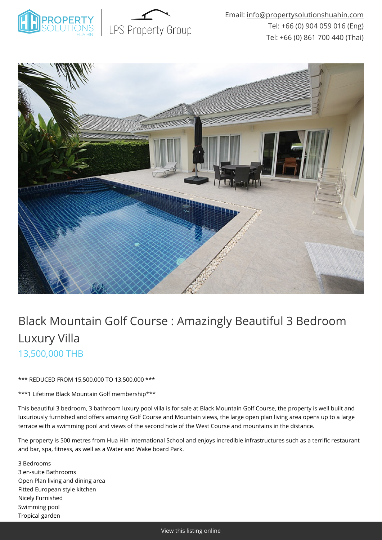



# Black Mountain Golf Course : Amazingly Beautiful 3 Bedroom Luxury Villa 13,500,000 THB

\*\*\* REDUCED FROM 15,500,000 TO 13,500,000 \*\*\*

\*\*\*1 Lifetime Black Mountain Golf membership\*\*\*

This beautiful 3 bedroom, 3 bathroom luxury pool villa is for sale at Black Mountain Golf Course, the property is well built and luxuriously furnished and offers amazing Golf Course and Mountain views, the large open plan living area opens up to a large terrace with a swimming pool and views of the second hole of the West Course and mountains in the distance.

The property is 500 metres from Hua Hin International School and enjoys incredible infrastructures such as a terrific restaurant and bar, spa, fitness, as well as a Water and Wake board Park.

3 Bedrooms 3 en-suite Bathrooms Open Plan living and dining area Fitted European style kitchen Nicely Furnished Swimming pool Tropical garden